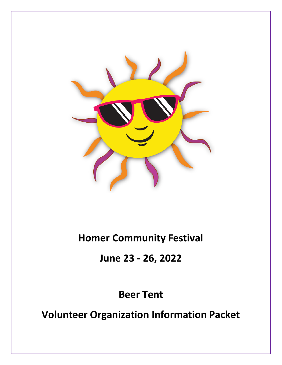

# **Homer Community Festival**

**June 23 - 26, 2022**

**Beer Tent**

**Volunteer Organization Information Packet**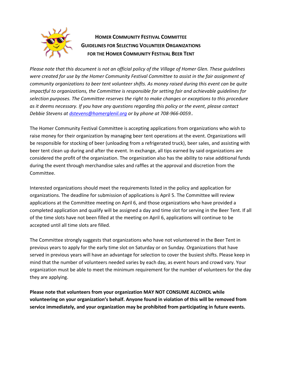

### **HOMER COMMUNITY FESTIVAL COMMITTEE GUIDELINES FOR SELECTING VOLUNTEER ORGANIZATIONS FOR THE HOMER COMMUNITY FESTIVAL BEER TENT**

*Please note that this document is not an official policy of the Village of Homer Glen. These guidelines were created for use by the Homer Community Festival Committee to assist in the fair assignment of community organizations to beer tent volunteer shifts. As money raised during this event can be quite impactful to organizations, the Committee is responsible for setting fair and achievable guidelines for selection purposes. The Committee reserves the right to make changes or exceptions to this procedure as it deems necessary. If you have any questions regarding this policy or the event, please contact Debbie Stevens at [dstevens@homerglenil.org](mailto:dstevens@homerglenil.org) or by phone at 708-966-0059..* 

The Homer Community Festival Committee is accepting applications from organizations who wish to raise money for their organization by managing beer tent operations at the event. Organizations will be responsible for stocking of beer (unloading from a refrigerated truck), beer sales, and assisting with beer tent clean up during and after the event. In exchange, all tips earned by said organizations are considered the profit of the organization. The organization also has the ability to raise additional funds during the event through merchandise sales and raffles at the approval and discretion from the Committee.

Interested organizations should meet the requirements listed in the policy and application for organizations. The deadline for submission of applications is April 5. The Committee will review applications at the Committee meeting on April 6, and those organizations who have provided a completed application and qualify will be assigned a day and time slot for serving in the Beer Tent. If all of the time slots have not been filled at the meeting on April 6, applications will continue to be accepted until all time slots are filled.

The Committee strongly suggests that organizations who have not volunteered in the Beer Tent in previous years to apply for the early time slot on Saturday or on Sunday. Organizations that have served in previous years will have an advantage for selection to cover the busiest shifts. Please keep in mind that the number of volunteers needed varies by each day, as event hours and crowd vary. Your organization must be able to meet the minimum requirement for the number of volunteers for the day they are applying.

**Please note that volunteers from your organization MAY NOT CONSUME ALCOHOL while volunteering on your organization's behalf. Anyone found in violation of this will be removed from service immediately, and your organization may be prohibited from participating in future events.**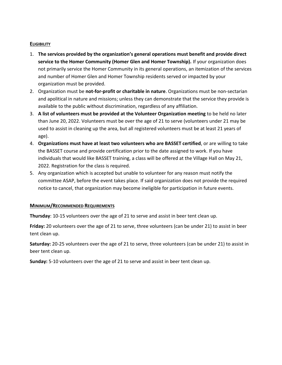#### **ELIGIBILITY**

- 1. **The services provided by the organization's general operations must benefit and provide direct service to the Homer Community (Homer Glen and Homer Township).** If your organization does not primarily service the Homer Community in its general operations, an itemization of the services and number of Homer Glen and Homer Township residents served or impacted by your organization must be provided.
- 2. Organization must be **not-for-profit or charitable in nature**. Organizations must be non-sectarian and apolitical in nature and missions; unless they can demonstrate that the service they provide is available to the public without discrimination, regardless of any affiliation.
- 3. **A list of volunteers must be provided at the Volunteer Organization meeting** to be held no later than June 20, 2022. Volunteers must be over the age of 21 to serve (volunteers under 21 may be used to assist in cleaning up the area, but all registered volunteers must be at least 21 years of age).
- 4. **Organizations must have at least two volunteers who are BASSET certified**, or are willing to take the BASSET course and provide certification prior to the date assigned to work. If you have individuals that would like BASSET training, a class will be offered at the Village Hall on May 21, 2022. Registration for the class is required.
- 5. Any organization which is accepted but unable to volunteer for any reason must notify the committee ASAP, before the event takes place. If said organization does not provide the required notice to cancel, that organization may become ineligible for participation in future events.

#### **MINIMUM/RECOMMENDED REQUIREMENTS**

**Thursday**: 10-15 volunteers over the age of 21 to serve and assist in beer tent clean up.

**Friday:** 20 volunteers over the age of 21 to serve, three volunteers (can be under 21) to assist in beer tent clean up.

**Saturday:** 20-25 volunteers over the age of 21 to serve, three volunteers (can be under 21) to assist in beer tent clean up.

**Sunday:** 5-10 volunteers over the age of 21 to serve and assist in beer tent clean up.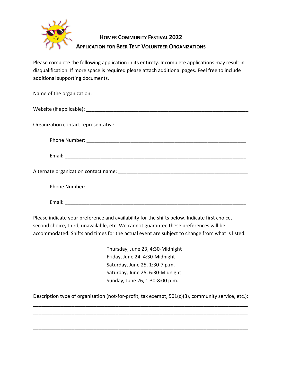

## **HOMER COMMUNITY FESTIVAL 2022 APPLICATION FOR BEER TENT VOLUNTEER ORGANIZATIONS**

Please complete the following application in its entirety. Incomplete applications may result in disqualification. If more space is required please attach additional pages. Feel free to include additional supporting documents.

Please indicate your preference and availability for the shifts below. Indicate first choice, second choice, third, unavailable, etc. We cannot guarantee these preferences will be accommodated. Shifts and times for the actual event are subject to change from what is listed.

| Thursday, June 23, 4:30-Midnight |
|----------------------------------|
| Friday, June 24, 4:30-Midnight   |
| Saturday, June 25, 1:30-7 p.m.   |
| Saturday, June 25, 6:30-Midnight |
| Sunday, June 26, 1:30-8:00 p.m.  |

Description type of organization (not-for-profit, tax exempt, 501(c)(3), community service, etc.): \_\_\_\_\_\_\_\_\_\_\_\_\_\_\_\_\_\_\_\_\_\_\_\_\_\_\_\_\_\_\_\_\_\_\_\_\_\_\_\_\_\_\_\_\_\_\_\_\_\_\_\_\_\_\_\_\_\_\_\_\_\_\_\_\_\_\_\_\_\_\_\_\_\_\_\_\_\_

\_\_\_\_\_\_\_\_\_\_\_\_\_\_\_\_\_\_\_\_\_\_\_\_\_\_\_\_\_\_\_\_\_\_\_\_\_\_\_\_\_\_\_\_\_\_\_\_\_\_\_\_\_\_\_\_\_\_\_\_\_\_\_\_\_\_\_\_\_\_\_\_\_\_\_\_\_\_ \_\_\_\_\_\_\_\_\_\_\_\_\_\_\_\_\_\_\_\_\_\_\_\_\_\_\_\_\_\_\_\_\_\_\_\_\_\_\_\_\_\_\_\_\_\_\_\_\_\_\_\_\_\_\_\_\_\_\_\_\_\_\_\_\_\_\_\_\_\_\_\_\_\_\_\_\_\_ \_\_\_\_\_\_\_\_\_\_\_\_\_\_\_\_\_\_\_\_\_\_\_\_\_\_\_\_\_\_\_\_\_\_\_\_\_\_\_\_\_\_\_\_\_\_\_\_\_\_\_\_\_\_\_\_\_\_\_\_\_\_\_\_\_\_\_\_\_\_\_\_\_\_\_\_\_\_